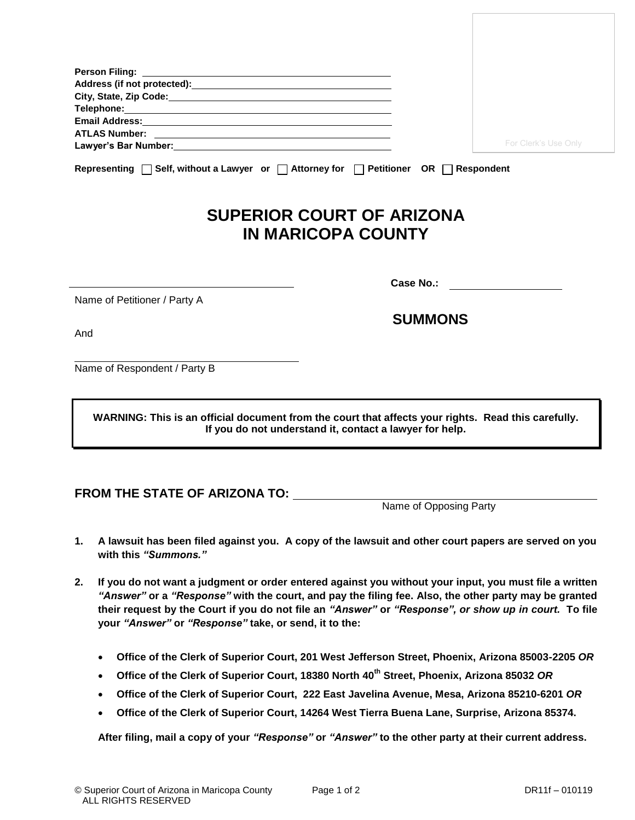| Email Address: Universe of the Contractor of the Contractor of the Contractor of the Contractor of the Contractor of the Contractor of the Contractor of the Contractor of the Contractor of the Contractor of the Contractor |           |                      |
|-------------------------------------------------------------------------------------------------------------------------------------------------------------------------------------------------------------------------------|-----------|----------------------|
|                                                                                                                                                                                                                               |           | For Clerk's Use Only |
|                                                                                                                                                                                                                               |           |                      |
| Representing $\Box$ Self, without a Lawyer or $\Box$ Attorney for $\Box$ Petitioner OR $\Box$ Respondent                                                                                                                      |           |                      |
| <b>SUPERIOR COURT OF ARIZONA</b><br><b>IN MARICOPA COUNTY</b>                                                                                                                                                                 |           |                      |
|                                                                                                                                                                                                                               | Case No.: |                      |
| Name of Petitioner / Party A                                                                                                                                                                                                  |           |                      |

 **SUMMONS**

And

 Name of Respondent / Party B

> **WARNING: This is an official document from the court that affects your rights. Read this carefully. If you do not understand it, contact a lawyer for help.**

## **FROM THE STATE OF ARIZONA TO:**

Name of Opposing Party

- **1. A lawsuit has been filed against you. A copy of the lawsuit and other court papers are served on you with this** *"Summons."*
- **2. If you do not want a judgment or order entered against you without your input, you must file a written**  *"Answer"* **or a** *"Response"* **with the court, and pay the filing fee. Also, the other party may be granted their request by the Court if you do not file an** *"Answer"* **or** *"Response", or show up in court.* **To file your** *"Answer"* **or** *"Response"* **take, or send, it to the:** 
	- **Office of the Clerk of Superior Court, 201 West Jefferson Street, Phoenix, Arizona 85003-2205** *OR*
	- **Office of the Clerk of Superior Court, 18380 North 40th Street, Phoenix, Arizona 85032** *OR*
	- **Office of the Clerk of Superior Court, 222 East Javelina Avenue, Mesa, Arizona 85210-6201** *OR*
	- **Office of the Clerk of Superior Court, 14264 West Tierra Buena Lane, Surprise, Arizona 85374.**

**After filing, mail a copy of your** *"Response"* **or** *"Answer"* **to the other party at their current address.**